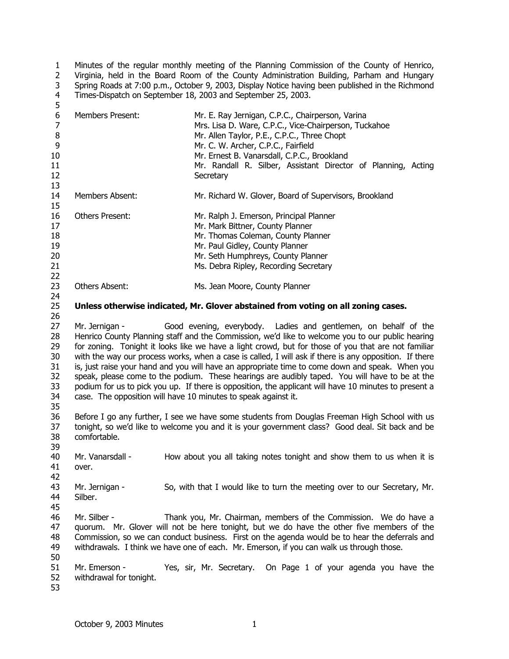1  $\overline{2}$ 3 4 5 Minutes of the regular monthly meeting of the Planning Commission of the County of Henrico, Virginia, held in the Board Room of the County Administration Building, Parham and Hungary Spring Roads at 7:00 p.m., October 9, 2003, Display Notice having been published in the Richmond Times-Dispatch on September 18, 2003 and September 25, 2003.

| 6<br>$\overline{7}$ | <b>Members Present:</b> | Mr. E. Ray Jernigan, C.P.C., Chairperson, Varina                                                       |
|---------------------|-------------------------|--------------------------------------------------------------------------------------------------------|
|                     |                         | Mrs. Lisa D. Ware, C.P.C., Vice-Chairperson, Tuckahoe                                                  |
| $\bf 8$             |                         | Mr. Allen Taylor, P.E., C.P.C., Three Chopt                                                            |
| 9                   |                         | Mr. C. W. Archer, C.P.C., Fairfield                                                                    |
| 10                  |                         | Mr. Ernest B. Vanarsdall, C.P.C., Brookland                                                            |
| 11                  |                         | Mr. Randall R. Silber, Assistant Director of Planning, Acting                                          |
| 12                  |                         | Secretary                                                                                              |
| 13                  |                         |                                                                                                        |
| 14                  | Members Absent:         | Mr. Richard W. Glover, Board of Supervisors, Brookland                                                 |
| 15                  |                         |                                                                                                        |
| 16                  | <b>Others Present:</b>  | Mr. Ralph J. Emerson, Principal Planner                                                                |
| 17                  |                         | Mr. Mark Bittner, County Planner                                                                       |
| 18                  |                         | Mr. Thomas Coleman, County Planner                                                                     |
| 19                  |                         | Mr. Paul Gidley, County Planner                                                                        |
| 20                  |                         | Mr. Seth Humphreys, County Planner                                                                     |
| 21                  |                         | Ms. Debra Ripley, Recording Secretary                                                                  |
| 22                  |                         |                                                                                                        |
| 23                  | Others Absent:          | Ms. Jean Moore, County Planner                                                                         |
| 24                  |                         |                                                                                                        |
|                     |                         |                                                                                                        |
| 25                  |                         | Unless otherwise indicated, Mr. Glover abstained from voting on all zoning cases.                      |
| 26                  |                         |                                                                                                        |
| 27                  | Mr. Jernigan -          | Good evening, everybody. Ladies and gentlemen, on behalf of the                                        |
| 28                  |                         | Henrico County Planning staff and the Commission, we'd like to welcome you to our public hearing       |
| 29                  |                         | for zoning. Tonight it looks like we have a light crowd, but for those of you that are not familiar    |
| 30                  |                         | with the way our process works, when a case is called, I will ask if there is any opposition. If there |
| 31                  |                         | is, just raise your hand and you will have an appropriate time to come down and speak. When you        |
| 32                  |                         | speak, please come to the podium. These hearings are audibly taped. You will have to be at the         |
| 33                  |                         | podium for us to pick you up. If there is opposition, the applicant will have 10 minutes to present a  |
| 34                  |                         | case. The opposition will have 10 minutes to speak against it.                                         |
| 35                  |                         |                                                                                                        |
| 36                  |                         | Before I go any further, I see we have some students from Douglas Freeman High School with us          |
| 37                  |                         | tonight, so we'd like to welcome you and it is your government class? Good deal. Sit back and be       |
| 38                  | comfortable.            |                                                                                                        |
| 39                  |                         |                                                                                                        |
| 40                  | Mr. Vanarsdall -        | How about you all taking notes tonight and show them to us when it is                                  |
| 41                  | over.                   |                                                                                                        |
| 42                  |                         |                                                                                                        |
|                     |                         |                                                                                                        |
| 43                  | Mr. Jernigan -          | So, with that I would like to turn the meeting over to our Secretary, Mr.                              |
| 44                  | Silber.                 |                                                                                                        |
| 45                  |                         |                                                                                                        |
| 46                  | Mr. Silber -            | Thank you, Mr. Chairman, members of the Commission. We do have a                                       |
| 47                  |                         | quorum. Mr. Glover will not be here tonight, but we do have the other five members of the              |
| 48                  |                         | Commission, so we can conduct business. First on the agenda would be to hear the deferrals and         |
| 49                  |                         | withdrawals. I think we have one of each. Mr. Emerson, if you can walk us through those.               |
| 50                  |                         |                                                                                                        |
| 51                  | Mr. Emerson -           | Yes, sir, Mr. Secretary.<br>On Page 1 of your agenda you have the                                      |
| 52                  | withdrawal for tonight. |                                                                                                        |
| 53                  |                         |                                                                                                        |
|                     |                         |                                                                                                        |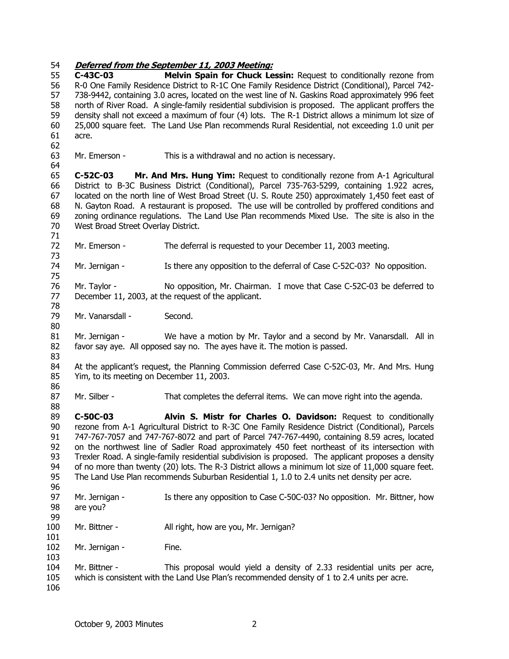54 **Deferred from the September 11, 2003 Meeting:** 55 56 57 58 59 60 61 62 63 64 65 66 67 68 69 70 71 72 73 74 75 76 77 78 79 80 81 82 83 84 85 86 87 88 89 90 91 92 93 94 95 96 97 98 99 100 101 102 103 104 105 106 **C-43C-03 Melvin Spain for Chuck Lessin:** Request to conditionally rezone from R-0 One Family Residence District to R-1C One Family Residence District (Conditional), Parcel 742- 738-9442, containing 3.0 acres, located on the west line of N. Gaskins Road approximately 996 feet north of River Road. A single-family residential subdivision is proposed. The applicant proffers the density shall not exceed a maximum of four (4) lots. The R-1 District allows a minimum lot size of 25,000 square feet. The Land Use Plan recommends Rural Residential, not exceeding 1.0 unit per acre. Mr. Emerson - This is a withdrawal and no action is necessary. **C-52C-03 Mr. And Mrs. Hung Yim:** Request to conditionally rezone from A-1 Agricultural District to B-3C Business District (Conditional), Parcel 735-763-5299, containing 1.922 acres, located on the north line of West Broad Street (U. S. Route 250) approximately 1,450 feet east of N. Gayton Road. A restaurant is proposed. The use will be controlled by proffered conditions and zoning ordinance regulations. The Land Use Plan recommends Mixed Use. The site is also in the West Broad Street Overlay District. Mr. Emerson - The deferral is requested to your December 11, 2003 meeting. Mr. Jernigan - Is there any opposition to the deferral of Case C-52C-03? No opposition. Mr. Taylor - No opposition, Mr. Chairman. I move that Case C-52C-03 be deferred to December 11, 2003, at the request of the applicant. Mr. Vanarsdall - Second. Mr. Jernigan - We have a motion by Mr. Taylor and a second by Mr. Vanarsdall. All in favor say aye. All opposed say no. The ayes have it. The motion is passed. At the applicant's request, the Planning Commission deferred Case C-52C-03, Mr. And Mrs. Hung Yim, to its meeting on December 11, 2003. Mr. Silber - That completes the deferral items. We can move right into the agenda. **C-50C-03 Alvin S. Mistr for Charles O. Davidson:** Request to conditionally rezone from A-1 Agricultural District to R-3C One Family Residence District (Conditional), Parcels 747-767-7057 and 747-767-8072 and part of Parcel 747-767-4490, containing 8.59 acres, located on the northwest line of Sadler Road approximately 450 feet northeast of its intersection with Trexler Road. A single-family residential subdivision is proposed. The applicant proposes a density of no more than twenty (20) lots. The R-3 District allows a minimum lot size of 11,000 square feet. The Land Use Plan recommends Suburban Residential 1, 1.0 to 2.4 units net density per acre. Mr. Jernigan - Is there any opposition to Case C-50C-03? No opposition. Mr. Bittner, how are you? Mr. Bittner - All right, how are you, Mr. Jernigan? Mr. Jernigan - Fine. Mr. Bittner - This proposal would yield a density of 2.33 residential units per acre, which is consistent with the Land Use Plan's recommended density of 1 to 2.4 units per acre.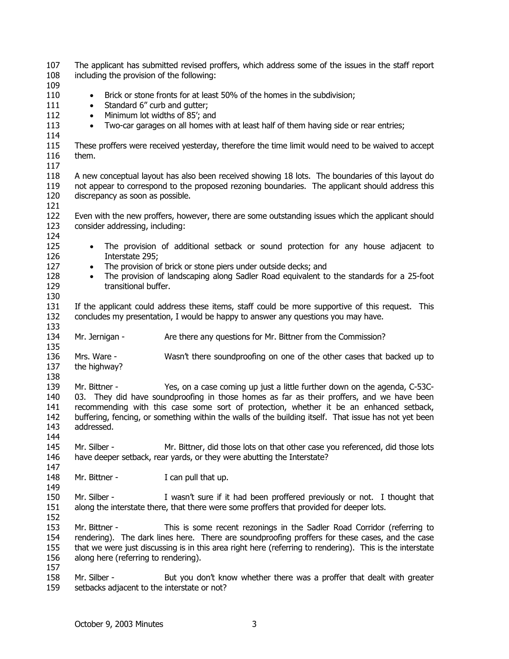| 107<br>108 | The applicant has submitted revised proffers, which address some of the issues in the staff report<br>including the provision of the following: |  |  |
|------------|-------------------------------------------------------------------------------------------------------------------------------------------------|--|--|
| 109        |                                                                                                                                                 |  |  |
| 110        | Brick or stone fronts for at least 50% of the homes in the subdivision;<br>$\bullet$                                                            |  |  |
| 111        | Standard 6" curb and gutter;<br>$\bullet$                                                                                                       |  |  |
| 112        | Minimum lot widths of 85'; and<br>$\bullet$                                                                                                     |  |  |
| 113        | Two-car garages on all homes with at least half of them having side or rear entries;<br>$\bullet$                                               |  |  |
| 114        |                                                                                                                                                 |  |  |
| 115        | These proffers were received yesterday, therefore the time limit would need to be waived to accept                                              |  |  |
| 116        | them.                                                                                                                                           |  |  |
| 117        |                                                                                                                                                 |  |  |
| 118        | A new conceptual layout has also been received showing 18 lots. The boundaries of this layout do                                                |  |  |
| 119        | not appear to correspond to the proposed rezoning boundaries. The applicant should address this                                                 |  |  |
| 120        | discrepancy as soon as possible.                                                                                                                |  |  |
| 121        |                                                                                                                                                 |  |  |
| 122        | Even with the new proffers, however, there are some outstanding issues which the applicant should                                               |  |  |
| 123        | consider addressing, including:                                                                                                                 |  |  |
| 124        |                                                                                                                                                 |  |  |
| 125        | The provision of additional setback or sound protection for any house adjacent to<br>$\bullet$                                                  |  |  |
| 126        | Interstate 295;                                                                                                                                 |  |  |
| 127        | The provision of brick or stone piers under outside decks; and<br>$\bullet$                                                                     |  |  |
| 128        | The provision of landscaping along Sadler Road equivalent to the standards for a 25-foot<br>$\bullet$                                           |  |  |
| 129        | transitional buffer.                                                                                                                            |  |  |
| 130        |                                                                                                                                                 |  |  |
|            |                                                                                                                                                 |  |  |
| 131        | If the applicant could address these items, staff could be more supportive of this request. This                                                |  |  |
| 132        | concludes my presentation, I would be happy to answer any questions you may have.                                                               |  |  |
| 133<br>134 |                                                                                                                                                 |  |  |
| 135        | Mr. Jernigan -<br>Are there any questions for Mr. Bittner from the Commission?                                                                  |  |  |
| 136        | Mrs. Ware -<br>Wasn't there soundproofing on one of the other cases that backed up to                                                           |  |  |
| 137        |                                                                                                                                                 |  |  |
|            |                                                                                                                                                 |  |  |
|            | the highway?                                                                                                                                    |  |  |
| 138        |                                                                                                                                                 |  |  |
| 139        | Yes, on a case coming up just a little further down on the agenda, C-53C-<br>Mr. Bittner -                                                      |  |  |
| 140        | 03. They did have soundproofing in those homes as far as their proffers, and we have been                                                       |  |  |
| 141        | recommending with this case some sort of protection, whether it be an enhanced setback,                                                         |  |  |
| 142        | buffering, fencing, or something within the walls of the building itself. That issue has not yet been                                           |  |  |
| 143        | addressed.                                                                                                                                      |  |  |
| 144        |                                                                                                                                                 |  |  |
| 145        | Mr. Silber -<br>Mr. Bittner, did those lots on that other case you referenced, did those lots                                                   |  |  |
| 146        | have deeper setback, rear yards, or they were abutting the Interstate?                                                                          |  |  |
| 147        |                                                                                                                                                 |  |  |
| 148        | Mr. Bittner -<br>I can pull that up.                                                                                                            |  |  |
| 149        |                                                                                                                                                 |  |  |
| 150        | Mr. Silber -<br>I wasn't sure if it had been proffered previously or not. I thought that                                                        |  |  |
| 151        | along the interstate there, that there were some proffers that provided for deeper lots.                                                        |  |  |
| 152        |                                                                                                                                                 |  |  |
| 153        | Mr. Bittner -<br>This is some recent rezonings in the Sadler Road Corridor (referring to                                                        |  |  |
| 154        | rendering). The dark lines here. There are soundproofing proffers for these cases, and the case                                                 |  |  |
|            |                                                                                                                                                 |  |  |
| 155        | that we were just discussing is in this area right here (referring to rendering). This is the interstate                                        |  |  |
| 156        | along here (referring to rendering).                                                                                                            |  |  |
| 157        | Mr. Silber -                                                                                                                                    |  |  |
| 158<br>159 | But you don't know whether there was a proffer that dealt with greater<br>setbacks adjacent to the interstate or not?                           |  |  |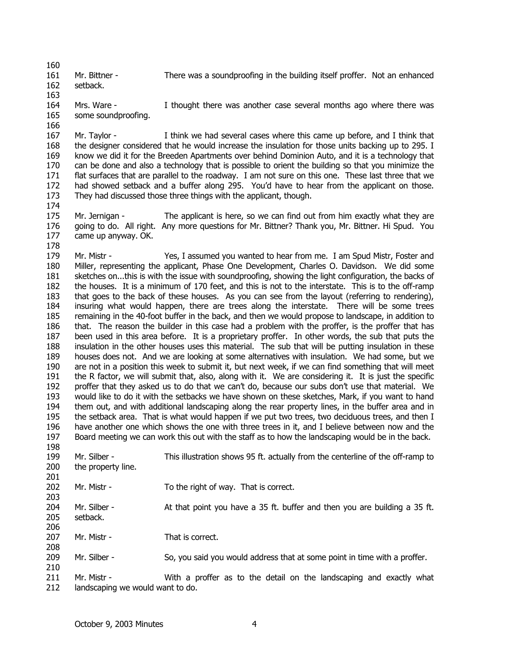161 Mr. Bittner - There was a soundproofing in the building itself proffer. Not an enhanced setback.

162 163

164 165 Mrs. Ware - I thought there was another case several months ago where there was some soundproofing.

166

178

198

201

167 168 169 170 171 172 173 174 Mr. Taylor - I think we had several cases where this came up before, and I think that the designer considered that he would increase the insulation for those units backing up to 295. I know we did it for the Breeden Apartments over behind Dominion Auto, and it is a technology that can be done and also a technology that is possible to orient the building so that you minimize the flat surfaces that are parallel to the roadway. I am not sure on this one. These last three that we had showed setback and a buffer along 295. You'd have to hear from the applicant on those. They had discussed those three things with the applicant, though.

175 176 177 Mr. Jernigan - The applicant is here, so we can find out from him exactly what they are going to do. All right. Any more questions for Mr. Bittner? Thank you, Mr. Bittner. Hi Spud. You came up anyway. OK.

179 180 181 182 183 184 185 186 187 188 189 190 191 192 193 194 195 196 197 Mr. Mistr - Yes, I assumed you wanted to hear from me. I am Spud Mistr, Foster and Miller, representing the applicant, Phase One Development, Charles O. Davidson. We did some sketches on...this is with the issue with soundproofing, showing the light configuration, the backs of the houses. It is a minimum of 170 feet, and this is not to the interstate. This is to the off-ramp that goes to the back of these houses. As you can see from the layout (referring to rendering), insuring what would happen, there are trees along the interstate. There will be some trees remaining in the 40-foot buffer in the back, and then we would propose to landscape, in addition to that. The reason the builder in this case had a problem with the proffer, is the proffer that has been used in this area before. It is a proprietary proffer. In other words, the sub that puts the insulation in the other houses uses this material. The sub that will be putting insulation in these houses does not. And we are looking at some alternatives with insulation. We had some, but we are not in a position this week to submit it, but next week, if we can find something that will meet the R factor, we will submit that, also, along with it. We are considering it. It is just the specific proffer that they asked us to do that we can't do, because our subs don't use that material. We would like to do it with the setbacks we have shown on these sketches, Mark, if you want to hand them out, and with additional landscaping along the rear property lines, in the buffer area and in the setback area. That is what would happen if we put two trees, two deciduous trees, and then I have another one which shows the one with three trees in it, and I believe between now and the Board meeting we can work this out with the staff as to how the landscaping would be in the back.

199 200 Mr. Silber - This illustration shows 95 ft. actually from the centerline of the off-ramp to the property line.

202 Mr. Mistr - To the right of way. That is correct.

203 204 205 206 Mr. Silber - At that point you have a 35 ft. buffer and then you are building a 35 ft. setback.

207 208 Mr. Mistr - That is correct.

- 209 210 Mr. Silber - So, you said you would address that at some point in time with a proffer.
- 211 212 Mr. Mistr - With a proffer as to the detail on the landscaping and exactly what landscaping we would want to do.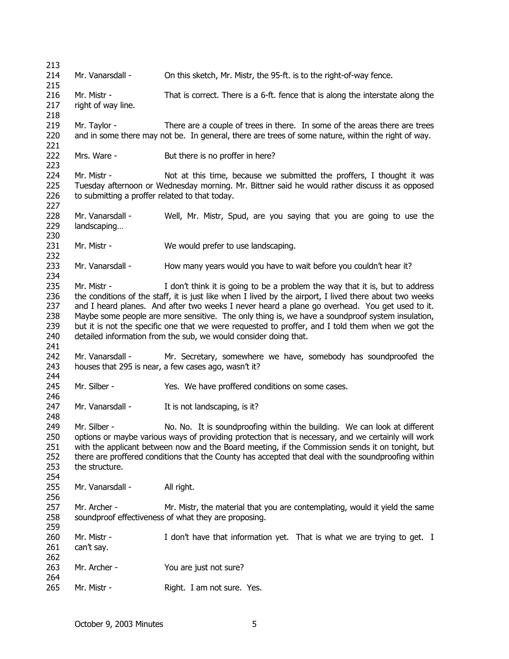213 214 215 216 217 218 219 220 221 222 223 224 225 226 227 228 229 230 231 232 233 234 235 236 237 238 239 240 241 242 243 244 245 246 247 248 249 250 251 252 253 254 255 256 257 258 259 260 261 262 263 264 265 Mr. Vanarsdall - On this sketch, Mr. Mistr, the 95-ft. is to the right-of-way fence. Mr. Mistr - That is correct. There is a 6-ft. fence that is along the interstate along the right of way line. Mr. Taylor - There are a couple of trees in there. In some of the areas there are trees and in some there may not be. In general, there are trees of some nature, within the right of way. Mrs. Ware - But there is no proffer in here? Mr. Mistr - Not at this time, because we submitted the proffers. I thought it was Tuesday afternoon or Wednesday morning. Mr. Bittner said he would rather discuss it as opposed to submitting a proffer related to that today. Mr. Vanarsdall - Well, Mr. Mistr, Spud, are you saying that you are going to use the landscaping… Mr. Mistr - We would prefer to use landscaping. Mr. Vanarsdall - How many years would you have to wait before you couldn't hear it? Mr. Mistr - I don't think it is going to be a problem the way that it is, but to address the conditions of the staff, it is just like when I lived by the airport, I lived there about two weeks and I heard planes. And after two weeks I never heard a plane go overhead. You get used to it. Maybe some people are more sensitive. The only thing is, we have a soundproof system insulation, but it is not the specific one that we were requested to proffer, and I told them when we got the detailed information from the sub, we would consider doing that. Mr. Vanarsdall - Mr. Secretary, somewhere we have, somebody has soundproofed the houses that 295 is near, a few cases ago, wasn't it? Mr. Silber - Yes. We have proffered conditions on some cases. Mr. Vanarsdall - It is not landscaping, is it? Mr. Silber - No. No. It is soundproofing within the building. We can look at different options or maybe various ways of providing protection that is necessary, and we certainly will work with the applicant between now and the Board meeting, if the Commission sends it on tonight, but there are proffered conditions that the County has accepted that deal with the soundproofing within the structure. Mr. Vanarsdall - All right. Mr. Archer - Mr. Mistr, the material that you are contemplating, would it yield the same soundproof effectiveness of what they are proposing. Mr. Mistr - I don't have that information yet. That is what we are trying to get. I can't say. Mr. Archer - You are just not sure? Mr. Mistr - Right. I am not sure. Yes.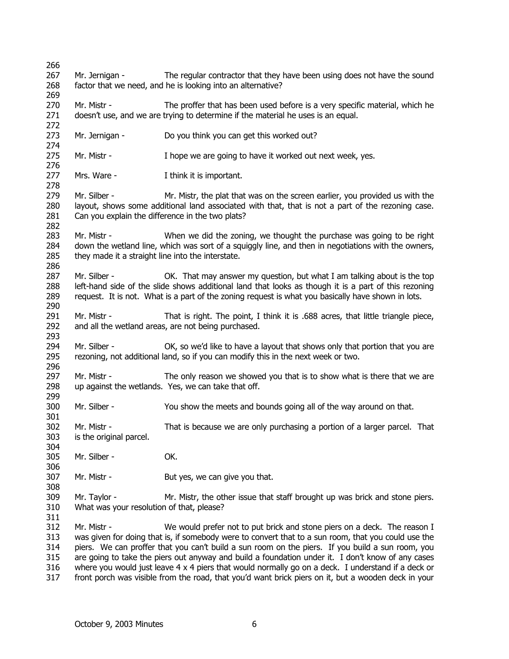| 266        |                                                                                                           |                                                                                                      |  |
|------------|-----------------------------------------------------------------------------------------------------------|------------------------------------------------------------------------------------------------------|--|
| 267        | Mr. Jernigan -                                                                                            | The regular contractor that they have been using does not have the sound                             |  |
| 268        |                                                                                                           | factor that we need, and he is looking into an alternative?                                          |  |
| 269        |                                                                                                           |                                                                                                      |  |
| 270        | Mr. Mistr -                                                                                               | The proffer that has been used before is a very specific material, which he                          |  |
| 271        |                                                                                                           | doesn't use, and we are trying to determine if the material he uses is an equal.                     |  |
| 272        |                                                                                                           |                                                                                                      |  |
| 273        | Mr. Jernigan -                                                                                            | Do you think you can get this worked out?                                                            |  |
| 274        |                                                                                                           |                                                                                                      |  |
| 275        | Mr. Mistr -                                                                                               | I hope we are going to have it worked out next week, yes.                                            |  |
| 276        |                                                                                                           |                                                                                                      |  |
| 277        | Mrs. Ware -                                                                                               | I think it is important.                                                                             |  |
| 278        |                                                                                                           |                                                                                                      |  |
| 279        | Mr. Silber -                                                                                              | Mr. Mistr, the plat that was on the screen earlier, you provided us with the                         |  |
| 280        |                                                                                                           | layout, shows some additional land associated with that, that is not a part of the rezoning case.    |  |
| 281        | Can you explain the difference in the two plats?                                                          |                                                                                                      |  |
| 282        |                                                                                                           |                                                                                                      |  |
| 283        | Mr. Mistr -                                                                                               | When we did the zoning, we thought the purchase was going to be right                                |  |
| 284<br>285 | they made it a straight line into the interstate.                                                         | down the wetland line, which was sort of a squiggly line, and then in negotiations with the owners,  |  |
| 286        |                                                                                                           |                                                                                                      |  |
| 287        | Mr. Silber -                                                                                              | OK. That may answer my question, but what I am talking about is the top                              |  |
| 288        |                                                                                                           | left-hand side of the slide shows additional land that looks as though it is a part of this rezoning |  |
| 289        |                                                                                                           | request. It is not. What is a part of the zoning request is what you basically have shown in lots.   |  |
| 290        |                                                                                                           |                                                                                                      |  |
| 291        | Mr. Mistr -                                                                                               | That is right. The point, I think it is .688 acres, that little triangle piece,                      |  |
| 292        |                                                                                                           | and all the wetland areas, are not being purchased.                                                  |  |
| 293        |                                                                                                           |                                                                                                      |  |
| 294        | Mr. Silber -                                                                                              | OK, so we'd like to have a layout that shows only that portion that you are                          |  |
| 295        |                                                                                                           | rezoning, not additional land, so if you can modify this in the next week or two.                    |  |
| 296        |                                                                                                           |                                                                                                      |  |
| 297        | Mr. Mistr -                                                                                               | The only reason we showed you that is to show what is there that we are                              |  |
| 298        |                                                                                                           | up against the wetlands. Yes, we can take that off.                                                  |  |
| 299        |                                                                                                           |                                                                                                      |  |
| 300        | Mr. Silber -                                                                                              | You show the meets and bounds going all of the way around on that.                                   |  |
| 301        |                                                                                                           |                                                                                                      |  |
| 302        | Mr. Mistr -                                                                                               | That is because we are only purchasing a portion of a larger parcel. That                            |  |
| 303        | is the original parcel.                                                                                   |                                                                                                      |  |
| 304        |                                                                                                           | OK.                                                                                                  |  |
| 305<br>306 | Mr. Silber -                                                                                              |                                                                                                      |  |
| 307        | Mr. Mistr -                                                                                               | But yes, we can give you that.                                                                       |  |
| 308        |                                                                                                           |                                                                                                      |  |
| 309        | Mr. Taylor -                                                                                              | Mr. Mistr, the other issue that staff brought up was brick and stone piers.                          |  |
| 310        | What was your resolution of that, please?                                                                 |                                                                                                      |  |
| 311        |                                                                                                           |                                                                                                      |  |
| 312        | Mr. Mistr -                                                                                               | We would prefer not to put brick and stone piers on a deck. The reason I                             |  |
| 313        |                                                                                                           | was given for doing that is, if somebody were to convert that to a sun room, that you could use the  |  |
| 314        | piers. We can proffer that you can't build a sun room on the piers. If you build a sun room, you          |                                                                                                      |  |
| 315        | are going to take the piers out anyway and build a foundation under it. I don't know of any cases         |                                                                                                      |  |
| 316        | where you would just leave $4 \times 4$ piers that would normally go on a deck. I understand if a deck or |                                                                                                      |  |
| 317        | front porch was visible from the road, that you'd want brick piers on it, but a wooden deck in your       |                                                                                                      |  |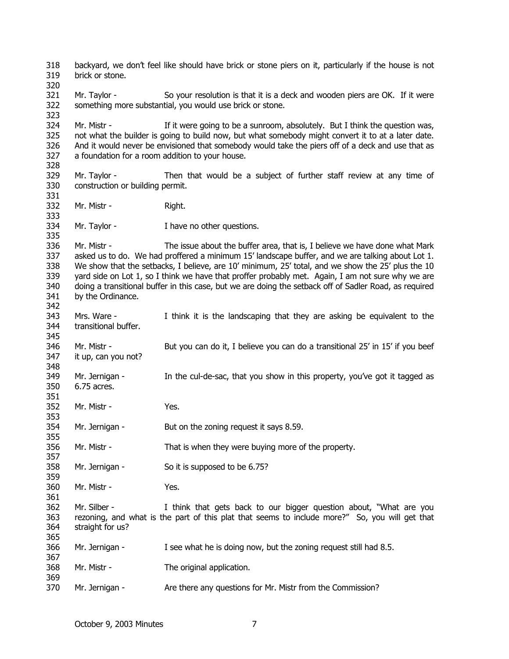318 319 320 321 322 323 324 325 326 327 328 329 330 331 332 333 334 335 336 337 338 339 340 341 342 343 344 345 346 347 348 349 350 351 352 353 354 355 356 357 358 359 360 361 362 363 364 365 366 367 368 369 370 backyard, we don't feel like should have brick or stone piers on it, particularly if the house is not brick or stone. Mr. Taylor - So your resolution is that it is a deck and wooden piers are OK. If it were something more substantial, you would use brick or stone. Mr. Mistr - If it were going to be a sunroom, absolutely. But I think the question was, not what the builder is going to build now, but what somebody might convert it to at a later date. And it would never be envisioned that somebody would take the piers off of a deck and use that as a foundation for a room addition to your house. Mr. Taylor - Then that would be a subject of further staff review at any time of construction or building permit. Mr. Mistr - Right. Mr. Taylor - I have no other questions. Mr. Mistr - The issue about the buffer area, that is, I believe we have done what Mark asked us to do. We had proffered a minimum 15' landscape buffer, and we are talking about Lot 1. We show that the setbacks, I believe, are 10' minimum, 25' total, and we show the 25' plus the 10 yard side on Lot 1, so I think we have that proffer probably met. Again, I am not sure why we are doing a transitional buffer in this case, but we are doing the setback off of Sadler Road, as required by the Ordinance. Mrs. Ware - I think it is the landscaping that they are asking be equivalent to the transitional buffer. Mr. Mistr - But you can do it, I believe you can do a transitional 25' in 15' if you beef it up, can you not? Mr. Jernigan - In the cul-de-sac, that you show in this property, you've got it tagged as 6.75 acres. Mr. Mistr - Yes. Mr. Jernigan - But on the zoning request it says 8.59. Mr. Mistr - That is when they were buying more of the property. Mr. Jernigan - So it is supposed to be 6.75? Mr. Mistr - Yes. Mr. Silber - I think that gets back to our bigger question about, "What are you rezoning, and what is the part of this plat that seems to include more?" So, you will get that straight for us? Mr. Jernigan - I see what he is doing now, but the zoning request still had 8.5. Mr. Mistr - The original application. Mr. Jernigan - Are there any questions for Mr. Mistr from the Commission?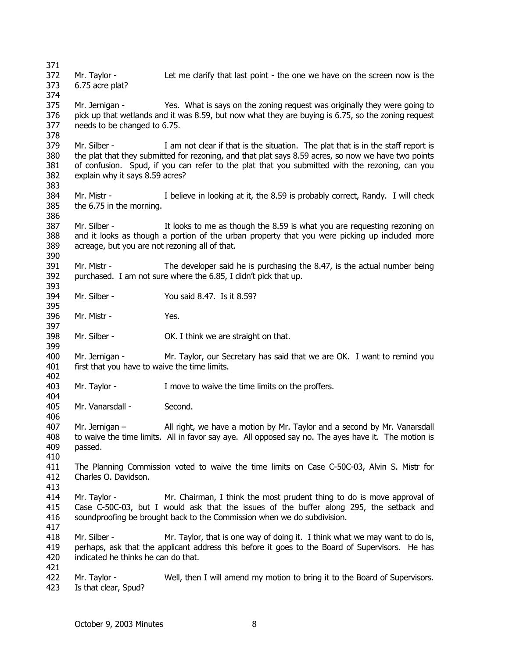371 372 373 374 375 376 377 378 379 380 381 382 383 384 385 386 387 388 389 390 391 392 393 394 395 396 397 398 399 400 401 402 403 404 405 406 407 408 409 410 411 412 413 414 415 416 417 418 419 420 421 422 423 Mr. Taylor - Let me clarify that last point - the one we have on the screen now is the 6.75 acre plat? Mr. Jernigan - Yes. What is says on the zoning request was originally they were going to pick up that wetlands and it was 8.59, but now what they are buying is 6.75, so the zoning request needs to be changed to 6.75. Mr. Silber - I am not clear if that is the situation. The plat that is in the staff report is the plat that they submitted for rezoning, and that plat says 8.59 acres, so now we have two points of confusion. Spud, if you can refer to the plat that you submitted with the rezoning, can you explain why it says 8.59 acres? Mr. Mistr - I believe in looking at it, the 8.59 is probably correct, Randy. I will check the 6.75 in the morning. Mr. Silber - The looks to me as though the 8.59 is what you are requesting rezoning on and it looks as though a portion of the urban property that you were picking up included more acreage, but you are not rezoning all of that. Mr. Mistr - The developer said he is purchasing the 8.47, is the actual number being purchased. I am not sure where the 6.85, I didn't pick that up. Mr. Silber - You said 8.47. Is it 8.59? Mr. Mistr - Yes. Mr. Silber - **OK. I think we are straight on that.** Mr. Jernigan - Mr. Taylor, our Secretary has said that we are OK. I want to remind you first that you have to waive the time limits. Mr. Taylor - The Move to waive the time limits on the proffers. Mr. Vanarsdall - Second. Mr. Jernigan – All right, we have a motion by Mr. Taylor and a second by Mr. Vanarsdall to waive the time limits. All in favor say aye. All opposed say no. The ayes have it. The motion is passed. The Planning Commission voted to waive the time limits on Case C-50C-03, Alvin S. Mistr for Charles O. Davidson. Mr. Taylor - Mr. Chairman, I think the most prudent thing to do is move approval of Case C-50C-03, but I would ask that the issues of the buffer along 295, the setback and soundproofing be brought back to the Commission when we do subdivision. Mr. Silber - Mr. Taylor, that is one way of doing it. I think what we may want to do is, perhaps, ask that the applicant address this before it goes to the Board of Supervisors. He has indicated he thinks he can do that. Mr. Taylor - Well, then I will amend my motion to bring it to the Board of Supervisors. Is that clear, Spud?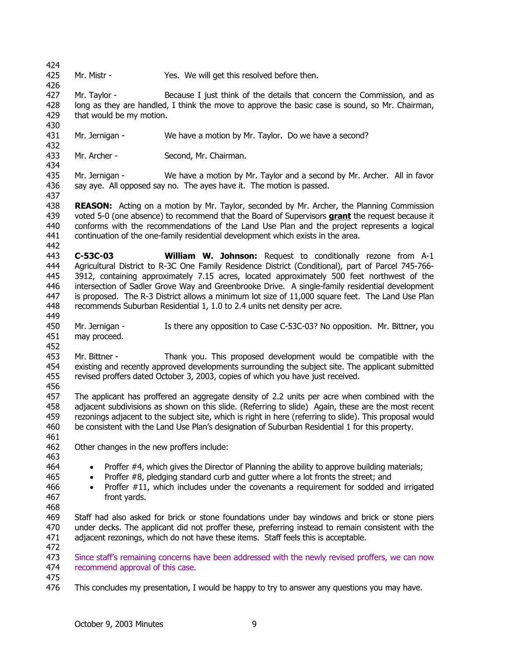424 425 Mr. Mistr - Yes. We will get this resolved before then.

426 427 428 429 Mr. Taylor - Because I just think of the details that concern the Commission, and as long as they are handled, I think the move to approve the basic case is sound, so Mr. Chairman, that would be my motion.

431 Mr. Jernigan - We have a motion by Mr. Taylor. Do we have a second?

433 Mr. Archer - Second, Mr. Chairman.

435 436 Mr. Jernigan - We have a motion by Mr. Taylor and a second by Mr. Archer. All in favor say aye. All opposed say no. The ayes have it. The motion is passed.

437

442

430

432

434

438 **REASON:** Acting on a motion by Mr. Taylor, seconded by Mr. Archer, the Planning Commission voted 5-0 (one absence) to recommend that the Board of Supervisors **grant** the request because it conforms with the recommendations of the Land Use Plan and the project represents a logical continuation of the one-family residential development which exists in the area. 439 440 441

443 444 445 446 447 448 449 **C-53C-03 William W. Johnson:** Request to conditionally rezone from A-1 Agricultural District to R-3C One Family Residence District (Conditional), part of Parcel 745-766- 3912, containing approximately 7.15 acres, located approximately 500 feet northwest of the intersection of Sadler Grove Way and Greenbrooke Drive. A single-family residential development is proposed. The R-3 District allows a minimum lot size of 11,000 square feet. The Land Use Plan recommends Suburban Residential 1, 1.0 to 2.4 units net density per acre.

450 451 Mr. Jernigan - Is there any opposition to Case C-53C-03? No opposition. Mr. Bittner, you may proceed.

452

453 454 455 Mr. Bittner - Thank you. This proposed development would be compatible with the existing and recently approved developments surrounding the subject site. The applicant submitted revised proffers dated October 3, 2003, copies of which you have just received.

456

457 458 459 460 The applicant has proffered an aggregate density of 2.2 units per acre when combined with the adjacent subdivisions as shown on this slide. (Referring to slide) Again, these are the most recent rezonings adjacent to the subject site, which is right in here (referring to slide). This proposal would be consistent with the Land Use Plan's designation of Suburban Residential 1 for this property.

462 Other changes in the new proffers include:

463 464

461

• Proffer #4, which gives the Director of Planning the ability to approve building materials;

- Proffer #8, pledging standard curb and gutter where a lot fronts the street; and
- Proffer #11, which includes under the covenants a requirement for sodded and irrigated front yards.

469 470 471 Staff had also asked for brick or stone foundations under bay windows and brick or stone piers under decks. The applicant did not proffer these, preferring instead to remain consistent with the adjacent rezonings, which do not have these items. Staff feels this is acceptable.

473 474 Since staff's remaining concerns have been addressed with the newly revised proffers, we can now recommend approval of this case.

475

472

476 This concludes my presentation, I would be happy to try to answer any questions you may have.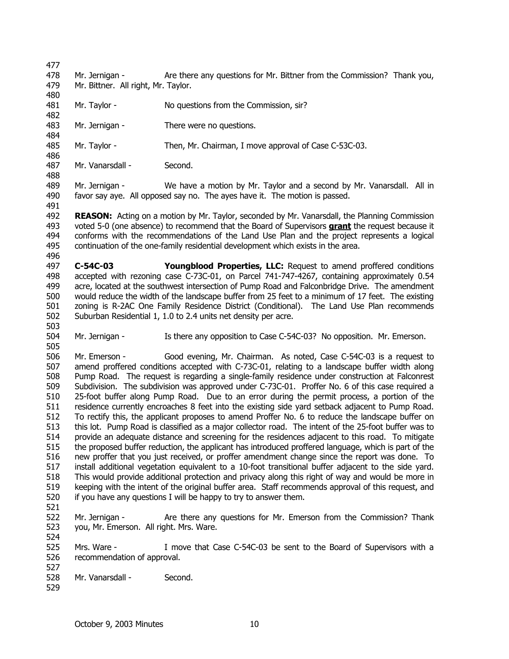480

484

488

491

503

478 479 Mr. Jernigan - Are there any questions for Mr. Bittner from the Commission? Thank you, Mr. Bittner. All right, Mr. Taylor.

- 481 482 Mr. Taylor - No questions from the Commission, sir?
- 483 Mr. Jernigan - There were no questions.
- 485 486 Mr. Taylor - Then, Mr. Chairman, I move approval of Case C-53C-03.
- 487 Mr. Vanarsdall - Second.

489 490 Mr. Jernigan - We have a motion by Mr. Taylor and a second by Mr. Vanarsdall. All in favor say aye. All opposed say no. The ayes have it. The motion is passed.

492 **REASON:** Acting on a motion by Mr. Taylor, seconded by Mr. Vanarsdall, the Planning Commission voted 5-0 (one absence) to recommend that the Board of Supervisors **grant** the request because it conforms with the recommendations of the Land Use Plan and the project represents a logical continuation of the one-family residential development which exists in the area. 493 494 495 496

497 498 499 500 501 502 **C-54C-03 Youngblood Properties, LLC:** Request to amend proffered conditions accepted with rezoning case C-73C-01, on Parcel 741-747-4267, containing approximately 0.54 acre, located at the southwest intersection of Pump Road and Falconbridge Drive. The amendment would reduce the width of the landscape buffer from 25 feet to a minimum of 17 feet. The existing zoning is R-2AC One Family Residence District (Conditional). The Land Use Plan recommends Suburban Residential 1, 1.0 to 2.4 units net density per acre.

504 505 Mr. Jernigan - Is there any opposition to Case C-54C-03? No opposition. Mr. Emerson.

506 507 508 509 510 511 512 513 514 515 516 517 518 519 520 Mr. Emerson - Good evening, Mr. Chairman. As noted, Case C-54C-03 is a request to amend proffered conditions accepted with C-73C-01, relating to a landscape buffer width along Pump Road. The request is regarding a single-family residence under construction at Falconrest Subdivision. The subdivision was approved under C-73C-01. Proffer No. 6 of this case required a 25-foot buffer along Pump Road. Due to an error during the permit process, a portion of the residence currently encroaches 8 feet into the existing side yard setback adjacent to Pump Road. To rectify this, the applicant proposes to amend Proffer No. 6 to reduce the landscape buffer on this lot. Pump Road is classified as a major collector road. The intent of the 25-foot buffer was to provide an adequate distance and screening for the residences adjacent to this road. To mitigate the proposed buffer reduction, the applicant has introduced proffered language, which is part of the new proffer that you just received, or proffer amendment change since the report was done. To install additional vegetation equivalent to a 10-foot transitional buffer adjacent to the side yard. This would provide additional protection and privacy along this right of way and would be more in keeping with the intent of the original buffer area. Staff recommends approval of this request, and if you have any questions I will be happy to try to answer them.

522 523 Mr. Jernigan - Are there any questions for Mr. Emerson from the Commission? Thank you, Mr. Emerson. All right. Mrs. Ware.

525 526 527 Mrs. Ware - I move that Case C-54C-03 be sent to the Board of Supervisors with a recommendation of approval.

- 528 Mr. Vanarsdall - Second.
- 529

521

524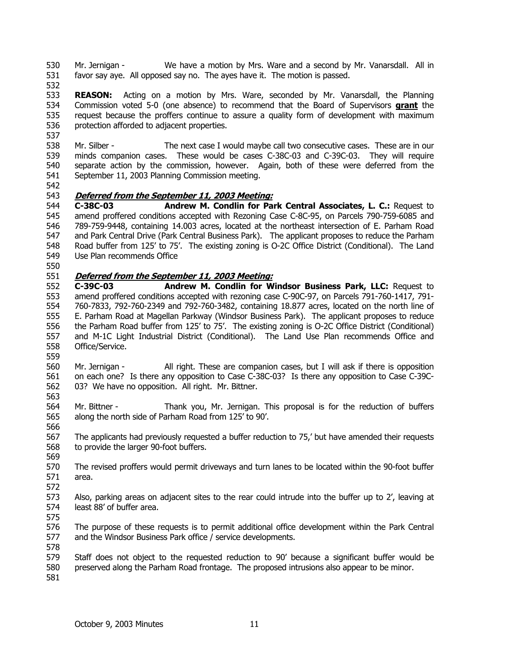530 531 Mr. Jernigan - We have a motion by Mrs. Ware and a second by Mr. Vanarsdall. All in favor say aye. All opposed say no. The ayes have it. The motion is passed.

532

533 **REASON:** Acting on a motion by Mrs. Ware, seconded by Mr. Vanarsdall, the Planning Commission voted 5-0 (one absence) to recommend that the Board of Supervisors **grant** the request because the proffers continue to assure a quality form of development with maximum protection afforded to adjacent properties. 534 535 536 537

538 539 540 541 Mr. Silber - The next case I would maybe call two consecutive cases. These are in our minds companion cases. These would be cases C-38C-03 and C-39C-03. They will require separate action by the commission, however. Again, both of these were deferred from the September 11, 2003 Planning Commission meeting.

542

## 543 **Deferred from the September 11, 2003 Meeting:**

544 545 546 547 548 549 **C-38C-03 Andrew M. Condlin for Park Central Associates, L. C.:** Request to amend proffered conditions accepted with Rezoning Case C-8C-95, on Parcels 790-759-6085 and 789-759-9448, containing 14.003 acres, located at the northeast intersection of E. Parham Road and Park Central Drive (Park Central Business Park). The applicant proposes to reduce the Parham Road buffer from 125' to 75'. The existing zoning is O-2C Office District (Conditional). The Land Use Plan recommends Office

550

## 551 **Deferred from the September 11, 2003 Meeting:**

552 553 554 555 556 557 558 **C-39C-03 Andrew M. Condlin for Windsor Business Park, LLC:** Request to amend proffered conditions accepted with rezoning case C-90C-97, on Parcels 791-760-1417, 791- 760-7833, 792-760-2349 and 792-760-3482, containing 18.877 acres, located on the north line of E. Parham Road at Magellan Parkway (Windsor Business Park). The applicant proposes to reduce the Parham Road buffer from 125' to 75'. The existing zoning is O-2C Office District (Conditional) and M-1C Light Industrial District (Conditional). The Land Use Plan recommends Office and Office/Service.

559

560 561 562 563 Mr. Jernigan - All right. These are companion cases, but I will ask if there is opposition on each one? Is there any opposition to Case C-38C-03? Is there any opposition to Case C-39C-03? We have no opposition. All right. Mr. Bittner.

564 565 Mr. Bittner - Thank you, Mr. Jernigan. This proposal is for the reduction of buffers along the north side of Parham Road from 125' to 90'.

567 568 The applicants had previously requested a buffer reduction to 75,' but have amended their requests to provide the larger 90-foot buffers.

569

566

570 571 The revised proffers would permit driveways and turn lanes to be located within the 90-foot buffer area.

572

573 574 575 Also, parking areas on adjacent sites to the rear could intrude into the buffer up to 2', leaving at least 88' of buffer area.

576 577 The purpose of these requests is to permit additional office development within the Park Central and the Windsor Business Park office / service developments.

579 580 Staff does not object to the requested reduction to 90' because a significant buffer would be preserved along the Parham Road frontage. The proposed intrusions also appear to be minor.

581

578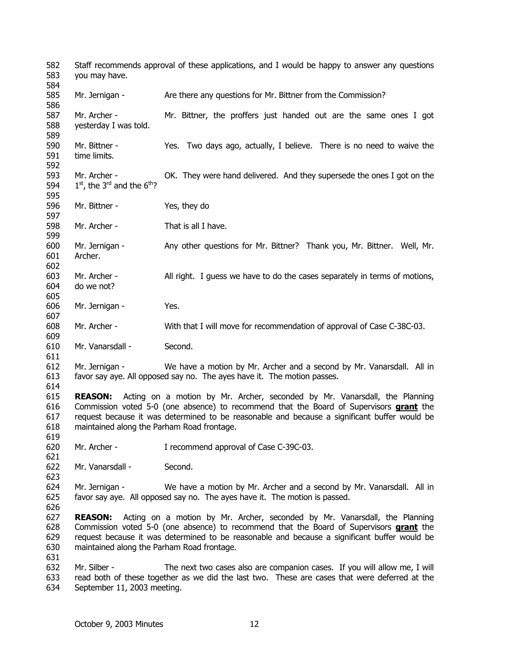582 583 584 585 586 587 588 589 590 591 592 593 594 595 596 597 598 599 600 601 602 603 604 605 606 607 608 609 610 611 612 613 614 615 Staff recommends approval of these applications, and I would be happy to answer any questions you may have. Mr. Jernigan - Are there any questions for Mr. Bittner from the Commission? Mr. Archer - Mr. Bittner, the proffers just handed out are the same ones I got yesterday I was told. Mr. Bittner - Yes. Two days ago, actually, I believe. There is no need to waive the time limits. Mr. Archer - OK. They were hand delivered. And they supersede the ones I got on the  $1<sup>st</sup>$ , the 3<sup>rd</sup> and the  $6<sup>th</sup>$ ? Mr. Bittner - Yes, they do Mr. Archer - That is all I have. Mr. Jernigan - Any other questions for Mr. Bittner? Thank you, Mr. Bittner. Well, Mr. Archer. Mr. Archer - All right. I guess we have to do the cases separately in terms of motions, do we not? Mr. Jernigan - Yes. Mr. Archer - With that I will move for recommendation of approval of Case C-38C-03. Mr. Vanarsdall - Second. Mr. Jernigan - We have a motion by Mr. Archer and a second by Mr. Vanarsdall. All in favor say aye. All opposed say no. The ayes have it. The motion passes. **REASON:** Acting on a motion by Mr. Archer, seconded by Mr. Vanarsdall, the Planning Commission voted 5-0 (one absence) to recommend that the Board of Supervisors **grant** the request because it was determined to be reasonable and because a significant buffer would be maintained along the Parham Road frontage. 616 617 618 619 620 621 622 623 624 625 626 627 Mr. Archer - I recommend approval of Case C-39C-03. Mr. Vanarsdall - Second. Mr. Jernigan - We have a motion by Mr. Archer and a second by Mr. Vanarsdall. All in favor say aye. All opposed say no. The ayes have it. The motion is passed. **REASON:** Acting on a motion by Mr. Archer, seconded by Mr. Vanarsdall, the Planning Commission voted 5-0 (one absence) to recommend that the Board of Supervisors **grant** the request because it was determined to be reasonable and because a significant buffer would be maintained along the Parham Road frontage. 628 629 630 631 632 633 634 Mr. Silber - The next two cases also are companion cases. If you will allow me, I will read both of these together as we did the last two. These are cases that were deferred at the September 11, 2003 meeting.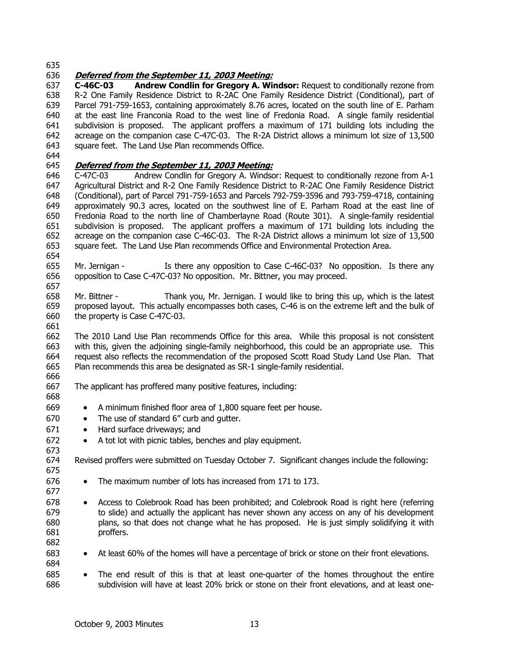## 636 **Deferred from the September 11, 2003 Meeting:**

637 638 639 640 641 642 643 **C-46C-03 Andrew Condlin for Gregory A. Windsor:** Request to conditionally rezone from R-2 One Family Residence District to R-2AC One Family Residence District (Conditional), part of Parcel 791-759-1653, containing approximately 8.76 acres, located on the south line of E. Parham at the east line Franconia Road to the west line of Fredonia Road. A single family residential subdivision is proposed. The applicant proffers a maximum of 171 building lots including the acreage on the companion case C-47C-03. The R-2A District allows a minimum lot size of 13,500 square feet. The Land Use Plan recommends Office.

644

## 645 **Deferred from the September 11, 2003 Meeting:**

646 647 648 649 650 651 652 653 654 C-47C-03 Andrew Condlin for Gregory A. Windsor: Request to conditionally rezone from A-1 Agricultural District and R-2 One Family Residence District to R-2AC One Family Residence District (Conditional), part of Parcel 791-759-1653 and Parcels 792-759-3596 and 793-759-4718, containing approximately 90.3 acres, located on the southwest line of E. Parham Road at the east line of Fredonia Road to the north line of Chamberlayne Road (Route 301). A single-family residential subdivision is proposed. The applicant proffers a maximum of 171 building lots including the acreage on the companion case C-46C-03. The R-2A District allows a minimum lot size of 13,500 square feet. The Land Use Plan recommends Office and Environmental Protection Area.

655 656 657 Mr. Jernigan - Is there any opposition to Case C-46C-03? No opposition. Is there any opposition to Case C-47C-03? No opposition. Mr. Bittner, you may proceed.

658 659 660 Mr. Bittner - Thank you, Mr. Jernigan. I would like to bring this up, which is the latest proposed layout. This actually encompasses both cases, C-46 is on the extreme left and the bulk of the property is Case C-47C-03.

662 663 664 665 The 2010 Land Use Plan recommends Office for this area. While this proposal is not consistent with this, given the adjoining single-family neighborhood, this could be an appropriate use. This request also reflects the recommendation of the proposed Scott Road Study Land Use Plan. That Plan recommends this area be designated as SR-1 single-family residential.

666 667

675 676 677

661

The applicant has proffered many positive features, including:

- A minimum finished floor area of 1,800 square feet per house.
- The use of standard 6" curb and qutter.
- Hard surface driveways; and
- A tot lot with picnic tables, benches and play equipment.

674 Revised proffers were submitted on Tuesday October 7. Significant changes include the following:

- The maximum number of lots has increased from 171 to 173.
- 678 679 680 681 • Access to Colebrook Road has been prohibited; and Colebrook Road is right here (referring to slide) and actually the applicant has never shown any access on any of his development plans, so that does not change what he has proposed. He is just simply solidifying it with proffers.
- 682
- 683 684
- 685
- At least 60% of the homes will have a percentage of brick or stone on their front elevations.
- 686 • The end result of this is that at least one-quarter of the homes throughout the entire subdivision will have at least 20% brick or stone on their front elevations, and at least one-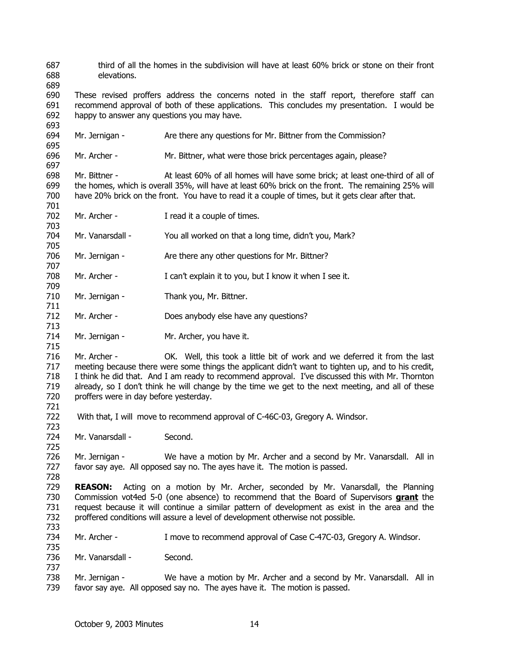- third of all the homes in the subdivision will have at least 60% brick or stone on their front elevations.
- These revised proffers address the concerns noted in the staff report, therefore staff can recommend approval of both of these applications. This concludes my presentation. I would be happy to answer any questions you may have.
- Mr. Jernigan - Are there any questions for Mr. Bittner from the Commission?
- Mr. Archer - Mr. Bittner, what were those brick percentages again, please?
- Mr. Bittner - At least 60% of all homes will have some brick; at least one-third of all of the homes, which is overall 35%, will have at least 60% brick on the front. The remaining 25% will have 20% brick on the front. You have to read it a couple of times, but it gets clear after that.
- Mr. Archer - I read it a couple of times.

- Mr. Vanarsdall - You all worked on that a long time, didn't you, Mark?
- Mr. Jernigan - Are there any other questions for Mr. Bittner?
- Mr. Archer - I can't explain it to you, but I know it when I see it.
- Mr. Jernigan - Thank you, Mr. Bittner.
- Mr. Archer - Does anybody else have any questions?
- Mr. Jernigan - Mr. Archer, you have it.
- Mr. Archer - OK. Well, this took a little bit of work and we deferred it from the last meeting because there were some things the applicant didn't want to tighten up, and to his credit, I think he did that. And I am ready to recommend approval. I've discussed this with Mr. Thornton already, so I don't think he will change by the time we get to the next meeting, and all of these proffers were in day before yesterday.
- With that, I will move to recommend approval of C-46C-03, Gregory A. Windsor.
- Mr. Vanarsdall - Second.
- Mr. Jernigan - We have a motion by Mr. Archer and a second by Mr. Vanarsdall. All in favor say aye. All opposed say no. The ayes have it. The motion is passed.
- **REASON:** Acting on a motion by Mr. Archer, seconded by Mr. Vanarsdall, the Planning Commission vot4ed 5-0 (one absence) to recommend that the Board of Supervisors **grant** the request because it will continue a similar pattern of development as exist in the area and the proffered conditions will assure a level of development otherwise not possible.
- Mr. Archer - I move to recommend approval of Case C-47C-03, Gregory A. Windsor.
- Mr. Vanarsdall - Second.
- Mr. Jernigan - We have a motion by Mr. Archer and a second by Mr. Vanarsdall. All in favor say aye. All opposed say no. The ayes have it. The motion is passed.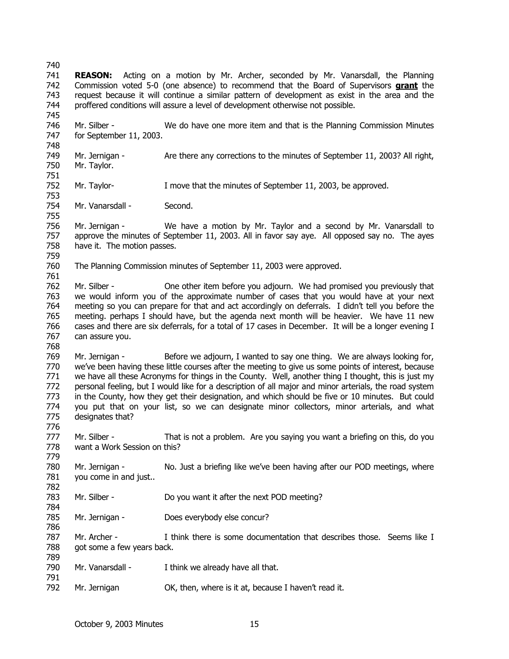740 741 **REASON:** Acting on a motion by Mr. Archer, seconded by Mr. Vanarsdall, the Planning Commission voted 5-0 (one absence) to recommend that the Board of Supervisors **grant** the request because it will continue a similar pattern of development as exist in the area and the proffered conditions will assure a level of development otherwise not possible. 742 743 744 745 746 747 748 749 750 751 752 753 754 755 756 757 758 759 760 761 762 763 764 765 766 767 768 769 770 771 772 773 774 775 776 777 778 779 780 781 782 783 784 785 786 787 788 789 790 791 792 Mr. Silber - We do have one more item and that is the Planning Commission Minutes for September 11, 2003. Mr. Jernigan - Are there any corrections to the minutes of September 11, 2003? All right, Mr. Taylor. Mr. Taylor- I move that the minutes of September 11, 2003, be approved. Mr. Vanarsdall - Second. Mr. Jernigan - We have a motion by Mr. Taylor and a second by Mr. Vanarsdall to approve the minutes of September 11, 2003. All in favor say aye. All opposed say no. The ayes have it. The motion passes. The Planning Commission minutes of September 11, 2003 were approved. Mr. Silber - One other item before you adjourn. We had promised you previously that we would inform you of the approximate number of cases that you would have at your next meeting so you can prepare for that and act accordingly on deferrals. I didn't tell you before the meeting. perhaps I should have, but the agenda next month will be heavier. We have 11 new cases and there are six deferrals, for a total of 17 cases in December. It will be a longer evening I can assure you. Mr. Jernigan - Before we adjourn, I wanted to say one thing. We are always looking for, we've been having these little courses after the meeting to give us some points of interest, because we have all these Acronyms for things in the County. Well, another thing I thought, this is just my personal feeling, but I would like for a description of all major and minor arterials, the road system in the County, how they get their designation, and which should be five or 10 minutes. But could you put that on your list, so we can designate minor collectors, minor arterials, and what designates that? Mr. Silber - That is not a problem. Are you saying you want a briefing on this, do you want a Work Session on this? Mr. Jernigan - No. Just a briefing like we've been having after our POD meetings, where you come in and just.. Mr. Silber - Do you want it after the next POD meeting? Mr. Jernigan - Does everybody else concur? Mr. Archer - I think there is some documentation that describes those. Seems like I got some a few years back. Mr. Vanarsdall - I think we already have all that. Mr. Jernigan **OK**, then, where is it at, because I haven't read it.